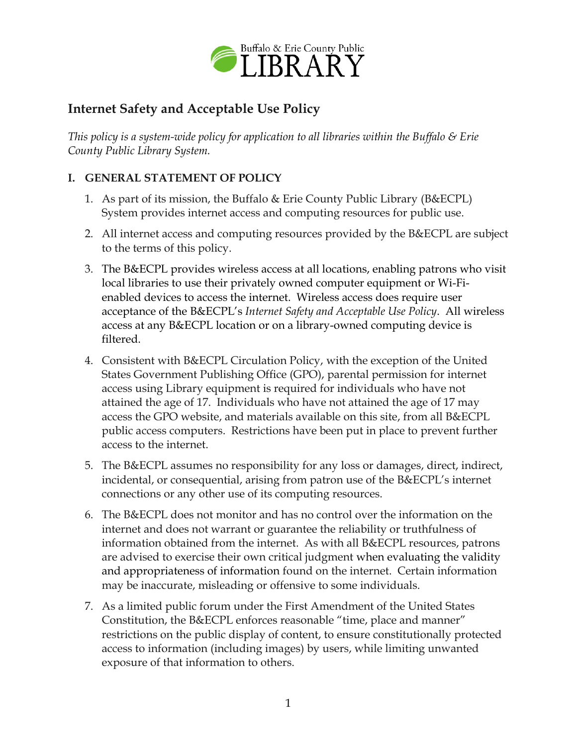

## **Internet Safety and Acceptable Use Policy**

*This policy is a system-wide policy for application to all libraries within the Buffalo & Erie County Public Library System.*

## **I. GENERAL STATEMENT OF POLICY**

- 1. As part of its mission, the Buffalo & Erie County Public Library (B&ECPL) System provides internet access and computing resources for public use.
- 2. All internet access and computing resources provided by the B&ECPL are subject to the terms of this policy.
- 3. The B&ECPL provides wireless access at all locations, enabling patrons who visit local libraries to use their privately owned computer equipment or Wi-Fienabled devices to access the internet. Wireless access does require user acceptance of the B&ECPL's *Internet Safety and Acceptable Use Policy*. All wireless access at any B&ECPL location or on a library-owned computing device is filtered.
- 4. Consistent with B&ECPL Circulation Policy, with the exception of the United States Government Publishing Office (GPO), parental permission for internet access using Library equipment is required for individuals who have not attained the age of 17. Individuals who have not attained the age of 17 may access the GPO website, and materials available on this site, from all B&ECPL public access computers. Restrictions have been put in place to prevent further access to the internet.
- 5. The B&ECPL assumes no responsibility for any loss or damages, direct, indirect, incidental, or consequential, arising from patron use of the B&ECPL's internet connections or any other use of its computing resources.
- 6. The B&ECPL does not monitor and has no control over the information on the internet and does not warrant or guarantee the reliability or truthfulness of information obtained from the internet. As with all B&ECPL resources, patrons are advised to exercise their own critical judgment when evaluating the validity and appropriateness of information found on the internet. Certain information may be inaccurate, misleading or offensive to some individuals.
- 7. As a limited public forum under the First Amendment of the United States Constitution, the B&ECPL enforces reasonable "time, place and manner" restrictions on the public display of content, to ensure constitutionally protected access to information (including images) by users, while limiting unwanted exposure of that information to others.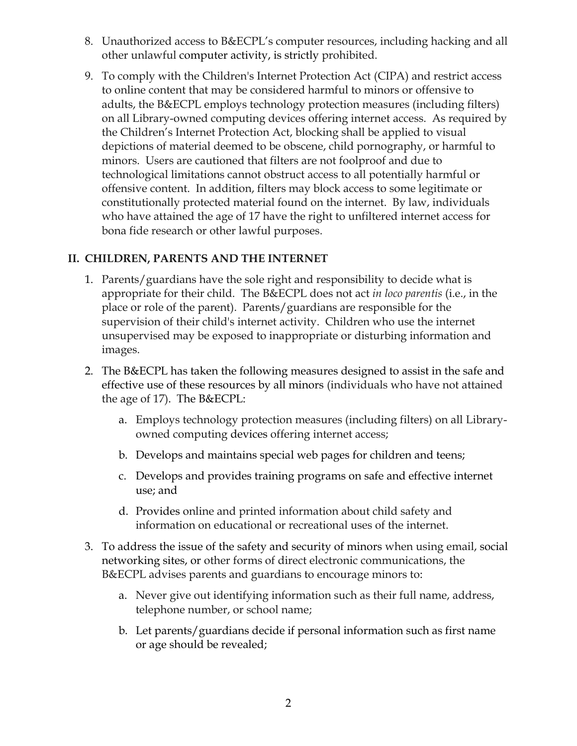- 8. Unauthorized access to B&ECPL's computer resources, including hacking and all other unlawful computer activity, is strictly prohibited.
- 9. To comply with the Children's Internet Protection Act (CIPA) and restrict access to online content that may be considered harmful to minors or offensive to adults, the B&ECPL employs technology protection measures (including filters) on all Library-owned computing devices offering internet access. As required by the Children's Internet Protection Act, blocking shall be applied to visual depictions of material deemed to be obscene, child pornography, or harmful to minors. Users are cautioned that filters are not foolproof and due to technological limitations cannot obstruct access to all potentially harmful or offensive content. In addition, filters may block access to some legitimate or constitutionally protected material found on the internet. By law, individuals who have attained the age of 17 have the right to unfiltered internet access for bona fide research or other lawful purposes.

## **II. CHILDREN, PARENTS AND THE INTERNET**

- 1. Parents/guardians have the sole right and responsibility to decide what is appropriate for their child. The B&ECPL does not act *in loco parentis* (i.e., in the place or role of the parent). Parents/guardians are responsible for the supervision of their child's internet activity. Children who use the internet unsupervised may be exposed to inappropriate or disturbing information and images.
- 2. The B&ECPL has taken the following measures designed to assist in the safe and effective use of these resources by all minors (individuals who have not attained the age of 17). The B&ECPL:
	- a. Employs technology protection measures (including filters) on all Libraryowned computing devices offering internet access;
	- b. Develops and maintains special web pages for children and teens;
	- c. Develops and provides training programs on safe and effective internet use; and
	- d. Provides online and printed information about child safety and information on educational or recreational uses of the internet.
- 3. To address the issue of the safety and security of minors when using email, social networking sites, or other forms of direct electronic communications, the B&ECPL advises parents and guardians to encourage minors to:
	- a. Never give out identifying information such as their full name, address, telephone number, or school name;
	- b. Let parents/guardians decide if personal information such as first name or age should be revealed;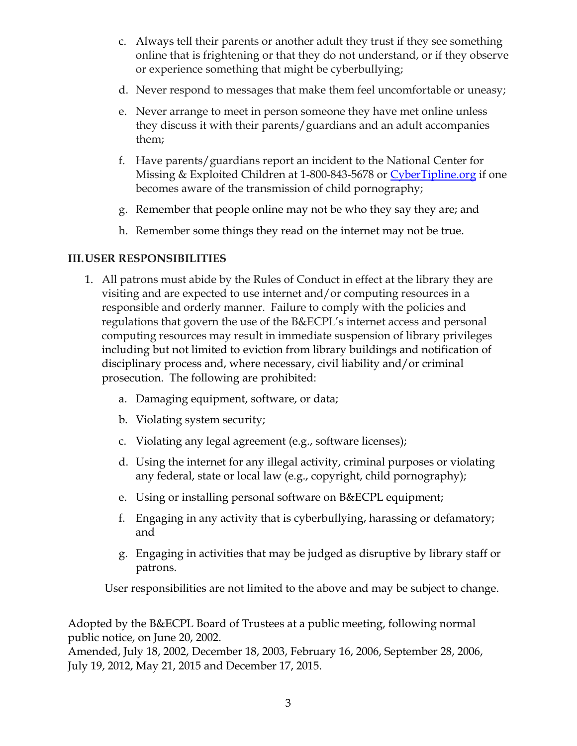- c. Always tell their parents or another adult they trust if they see something online that is frightening or that they do not understand, or if they observe or experience something that might be cyberbullying;
- d. Never respond to messages that make them feel uncomfortable or uneasy;
- e. Never arrange to meet in person someone they have met online unless they discuss it with their parents/guardians and an adult accompanies them;
- f. Have parents/guardians report an incident to the National Center for Missing & Exploited Children at 1-800-843-5678 or [CyberTipline.org](http://cybertipline.org/) if one becomes aware of the transmission of child pornography;
- g. Remember that people online may not be who they say they are; and
- h. Remember some things they read on the internet may not be true.

## **III.USER RESPONSIBILITIES**

- 1. All patrons must abide by the Rules of Conduct in effect at the library they are visiting and are expected to use internet and/or computing resources in a responsible and orderly manner. Failure to comply with the policies and regulations that govern the use of the B&ECPL's internet access and personal computing resources may result in immediate suspension of library privileges including but not limited to eviction from library buildings and notification of disciplinary process and, where necessary, civil liability and/or criminal prosecution. The following are prohibited:
	- a. Damaging equipment, software, or data;
	- b. Violating system security;
	- c. Violating any legal agreement (e.g., software licenses);
	- d. Using the internet for any illegal activity, criminal purposes or violating any federal, state or local law (e.g., copyright, child pornography);
	- e. Using or installing personal software on B&ECPL equipment;
	- f. Engaging in any activity that is cyberbullying, harassing or defamatory; and
	- g. Engaging in activities that may be judged as disruptive by library staff or patrons.

User responsibilities are not limited to the above and may be subject to change.

Adopted by the B&ECPL Board of Trustees at a public meeting, following normal public notice, on June 20, 2002.

Amended, July 18, 2002, December 18, 2003, February 16, 2006, September 28, 2006, July 19, 2012, May 21, 2015 and December 17, 2015.